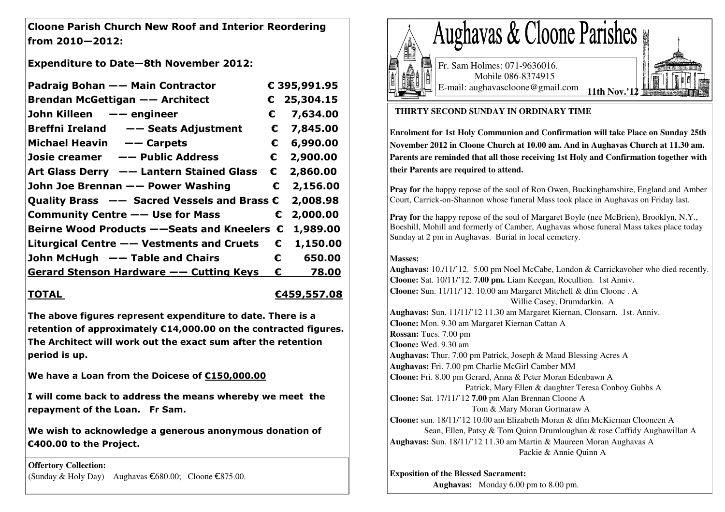Cloone Parish Church New Roof and Interior Reordering from 2010—2012:

Expenditure to Date—8th November 2012:

| Padraig Bohan -- Main Contractor                        |            | € 395,991.95           |
|---------------------------------------------------------|------------|------------------------|
| <b>Brendan McGettigan -- Architect</b>                  |            | $C$ 25,304.15          |
| John Killeen - engineer                                 | €          | 7,634.00               |
| Breffni Ireland - - Seats Adjustment                    | €          | 7,845.00               |
| Michael Heavin -- Carpets                               | €          | 6,990.00               |
| Josie creamer –– Public Address                         | $\epsilon$ | 2,900.00               |
| Art Glass Derry - Lantern Stained Glass                 | €          | 2,860.00               |
| John Joe Brennan —— Power Washing                       | $\epsilon$ | 2,156.00               |
|                                                         |            | 2,008.98               |
| Community Centre $--$ Use for Mass                      | $\epsilon$ | 2,000.00               |
| Beirne Wood Products $-$ -Seats and Kneelers $\epsilon$ |            | 1,989.00               |
| Liturgical Centre -- Vestments and Cruets               |            | 1,150.00<br>€          |
| John McHugh - Table and Chairs                          |            | $\epsilon$ –<br>650.00 |
| <u>Gerard Stenson Hardware -- Cutting Keys</u>          | €          | 78.00                  |

# TOTAL <del>€459,557.08</del>

The above figures represent expenditure to date. There is a retention of approximately €14,000.00 on the contracted figures. The Architect will work out the exact sum after the retention period is up.

We have a Loan from the Doicese of €150,000.00

I will come back to address the means whereby we meet the repayment of the Loan. Fr Sam.

We wish to acknowledge a generous anonymous donation of €400.00 to the Project.

**Offertory Collection:** (Sunday & Holy Day) Aughavas €680.00; Cloone €875.00.



## **THIRTY SECOND SUNDAY IN ORDINARY TIME**

**Enrolment for 1st Holy Communion and Confirmation will take Place on Sunday 25th November 2012 in Cloone Church at 10.00 am. And in Aughavas Church at 11.30 am. Parents are reminded that all those receiving 1st Holy and Confirmation together with their Parents are required to attend.** 

**Pray for** the happy repose of the soul of Ron Owen, Buckinghamshire, England and Amber Court, Carrick-on-Shannon whose funeral Mass took place in Aughavas on Friday last.

**Pray for** the happy repose of the soul of Margaret Boyle (nee McBrien), Brooklyn, N.Y., Boeshill, Mohill and formerly of Camber, Aughavas whose funeral Mass takes place today Sunday at 2 pm in Aughavas. Burial in local cemetery.

### **Masses:**

 **Aughavas:** 10./11/'12. 5.00 pm Noel McCabe, London & Carrickavoher who died recently. **Cloone:** Sat. 10/11/'12. **7.00 pm.** Liam Keegan, Rocullion. 1st Anniv. **Cloone:** Sun. 11/11/'12. 10.00 am Margaret Mitchell & dfm Cloone . A Willie Casey, Drumdarkin. A **Aughavas:** Sun. 11/11/'12 11.30 am Margaret Kiernan, Clonsarn. 1st. Anniv. **Cloone:** Mon. 9.30 am Margaret Kiernan Cattan A **Rossan:** Tues. 7.00 pm **Cloone:** Wed. 9.30 am **Aughavas:** Thur. 7.00 pm Patrick, Joseph & Maud Blessing Acres A **Aughavas:** Fri. 7.00 pm Charlie McGirl Camber MM **Cloone:** Fri. 8.00 pm Gerard, Anna & Peter Moran Edenbawn A Patrick, Mary Ellen & daughter Teresa Conboy Gubbs A **Cloone:** Sat. 17/11/'12 **7.00** pm Alan Brennan Cloone A Tom & Mary Moran Gortnaraw A **Cloone:** sun. 18/11/'12 10.00 am Elizabeth Moran & dfm McKiernan Clooneen A Sean, Ellen, Patsy & Tom Quinn Drumloughan & rose Caffidy Aughawillan A **Aughavas:** Sun. 18/11/'12 11.30 am Martin & Maureen Moran Aughavas A Packie & Annie Quinn A

#### **Exposition of the Blessed Sacrament:**

 **Aughavas:** Monday 6.00 pm to 8.00 pm.